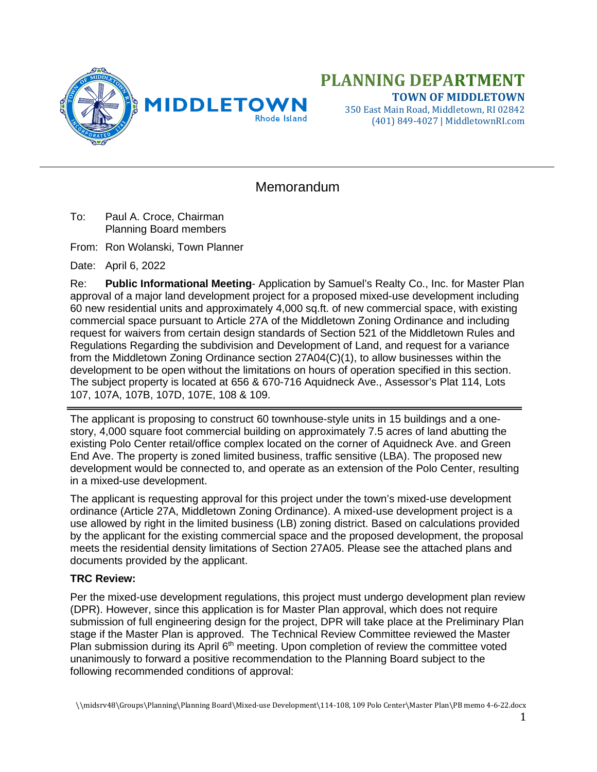

# **PLANNING DEPARTMENT TOWN OF MIDDLETOWN**

350 East Main Road, Middletown, RI 02842 (401) 849-4027 | MiddletownRI.com

# Memorandum

To: Paul A. Croce, Chairman Planning Board members

From: Ron Wolanski, Town Planner

Date: April 6, 2022

Re: **Public Informational Meeting**- Application by Samuel's Realty Co., Inc. for Master Plan approval of a major land development project for a proposed mixed-use development including 60 new residential units and approximately 4,000 sq.ft. of new commercial space, with existing commercial space pursuant to Article 27A of the Middletown Zoning Ordinance and including request for waivers from certain design standards of Section 521 of the Middletown Rules and Regulations Regarding the subdivision and Development of Land, and request for a variance from the Middletown Zoning Ordinance section 27A04(C)(1), to allow businesses within the development to be open without the limitations on hours of operation specified in this section. The subject property is located at 656 & 670-716 Aquidneck Ave., Assessor's Plat 114, Lots 107, 107A, 107B, 107D, 107E, 108 & 109.

The applicant is proposing to construct 60 townhouse-style units in 15 buildings and a onestory, 4,000 square foot commercial building on approximately 7.5 acres of land abutting the existing Polo Center retail/office complex located on the corner of Aquidneck Ave. and Green End Ave. The property is zoned limited business, traffic sensitive (LBA). The proposed new development would be connected to, and operate as an extension of the Polo Center, resulting in a mixed-use development.

The applicant is requesting approval for this project under the town's mixed-use development ordinance (Article 27A, Middletown Zoning Ordinance). A mixed-use development project is a use allowed by right in the limited business (LB) zoning district. Based on calculations provided by the applicant for the existing commercial space and the proposed development, the proposal meets the residential density limitations of Section 27A05. Please see the attached plans and documents provided by the applicant.

#### **TRC Review:**

Per the mixed-use development regulations, this project must undergo development plan review (DPR). However, since this application is for Master Plan approval, which does not require submission of full engineering design for the project, DPR will take place at the Preliminary Plan stage if the Master Plan is approved. The Technical Review Committee reviewed the Master Plan submission during its April 6<sup>th</sup> meeting. Upon completion of review the committee voted unanimously to forward a positive recommendation to the Planning Board subject to the following recommended conditions of approval: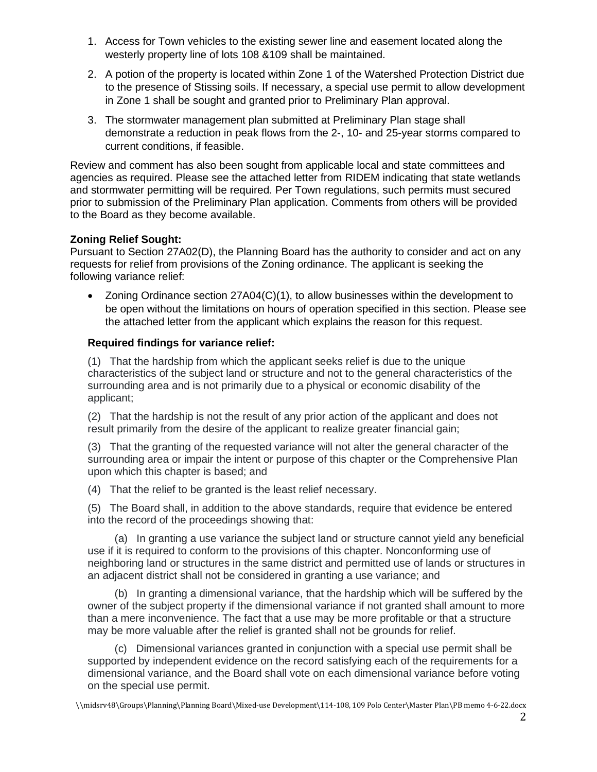- 1. Access for Town vehicles to the existing sewer line and easement located along the westerly property line of lots 108 &109 shall be maintained.
- 2. A potion of the property is located within Zone 1 of the Watershed Protection District due to the presence of Stissing soils. If necessary, a special use permit to allow development in Zone 1 shall be sought and granted prior to Preliminary Plan approval.
- 3. The stormwater management plan submitted at Preliminary Plan stage shall demonstrate a reduction in peak flows from the 2-, 10- and 25-year storms compared to current conditions, if feasible.

Review and comment has also been sought from applicable local and state committees and agencies as required. Please see the attached letter from RIDEM indicating that state wetlands and stormwater permitting will be required. Per Town regulations, such permits must secured prior to submission of the Preliminary Plan application. Comments from others will be provided to the Board as they become available.

## **Zoning Relief Sought:**

Pursuant to Section 27A02(D), the Planning Board has the authority to consider and act on any requests for relief from provisions of the Zoning ordinance. The applicant is seeking the following variance relief:

• Zoning Ordinance section 27A04(C)(1), to allow businesses within the development to be open without the limitations on hours of operation specified in this section. Please see the attached letter from the applicant which explains the reason for this request.

## **Required findings for variance relief:**

(1) That the hardship from which the applicant seeks relief is due to the unique characteristics of the subject land or structure and not to the general characteristics of the surrounding area and is not primarily due to a physical or economic disability of the applicant;

(2) That the hardship is not the result of any prior action of the applicant and does not result primarily from the desire of the applicant to realize greater financial gain;

(3) That the granting of the requested variance will not alter the general character of the surrounding area or impair the intent or purpose of this chapter or the Comprehensive Plan upon which this chapter is based; and

(4) That the relief to be granted is the least relief necessary.

(5) The Board shall, in addition to the above standards, require that evidence be entered into the record of the proceedings showing that:

 (a) In granting a use variance the subject land or structure cannot yield any beneficial use if it is required to conform to the provisions of this chapter. Nonconforming use of neighboring land or structures in the same district and permitted use of lands or structures in an adjacent district shall not be considered in granting a use variance; and

 (b) In granting a dimensional variance, that the hardship which will be suffered by the owner of the subject property if the dimensional variance if not granted shall amount to more than a mere inconvenience. The fact that a use may be more profitable or that a structure may be more valuable after the relief is granted shall not be grounds for relief.

 (c) Dimensional variances granted in conjunction with a special use permit shall be supported by independent evidence on the record satisfying each of the requirements for a dimensional variance, and the Board shall vote on each dimensional variance before voting on the special use permit.